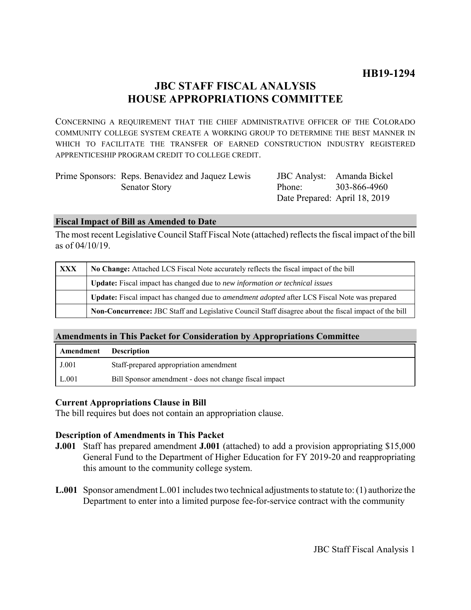# **JBC STAFF FISCAL ANALYSIS HOUSE APPROPRIATIONS COMMITTEE**

CONCERNING A REQUIREMENT THAT THE CHIEF ADMINISTRATIVE OFFICER OF THE COLORADO COMMUNITY COLLEGE SYSTEM CREATE A WORKING GROUP TO DETERMINE THE BEST MANNER IN WHICH TO FACILITATE THE TRANSFER OF EARNED CONSTRUCTION INDUSTRY REGISTERED APPRENTICESHIP PROGRAM CREDIT TO COLLEGE CREDIT.

| Prime Sponsors: Reps. Benavidez and Jaquez Lewis |        | JBC Analyst: Amanda Bickel    |
|--------------------------------------------------|--------|-------------------------------|
| <b>Senator Story</b>                             | Phone: | 303-866-4960                  |
|                                                  |        | Date Prepared: April 18, 2019 |

### **Fiscal Impact of Bill as Amended to Date**

The most recent Legislative Council Staff Fiscal Note (attached) reflects the fiscal impact of the bill as of 04/10/19.

| <b>XXX</b> | No Change: Attached LCS Fiscal Note accurately reflects the fiscal impact of the bill                 |  |
|------------|-------------------------------------------------------------------------------------------------------|--|
|            | Update: Fiscal impact has changed due to new information or technical issues                          |  |
|            | Update: Fiscal impact has changed due to <i>amendment adopted</i> after LCS Fiscal Note was prepared  |  |
|            | Non-Concurrence: JBC Staff and Legislative Council Staff disagree about the fiscal impact of the bill |  |

# **Amendments in This Packet for Consideration by Appropriations Committee**

| Amendment | <b>Description</b>                                     |
|-----------|--------------------------------------------------------|
| J.001     | Staff-prepared appropriation amendment                 |
| L.001     | Bill Sponsor amendment - does not change fiscal impact |

# **Current Appropriations Clause in Bill**

The bill requires but does not contain an appropriation clause.

# **Description of Amendments in This Packet**

- **J.001** Staff has prepared amendment **J.001** (attached) to add a provision appropriating \$15,000 General Fund to the Department of Higher Education for FY 2019-20 and reappropriating this amount to the community college system.
- **L.001** Sponsor amendment L.001 includes two technical adjustments to statute to: (1) authorize the Department to enter into a limited purpose fee-for-service contract with the community